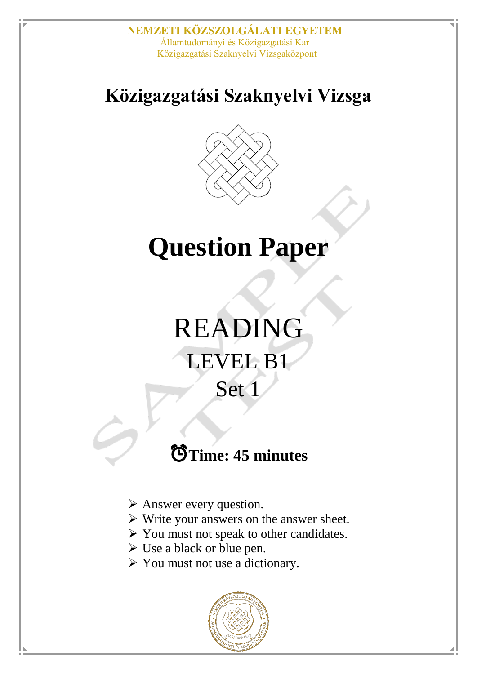# **Közigazgatási Szaknyelvi Vizsga**



# **Question Paper**

# READING LEVEL B1 Set 1

# ⏰**Time: 45 minutes**

- > Answer every question.
- Write your answers on the answer sheet.
- $\triangleright$  You must not speak to other candidates.
- $\triangleright$  Use a black or blue pen.
- $\triangleright$  You must not use a dictionary.

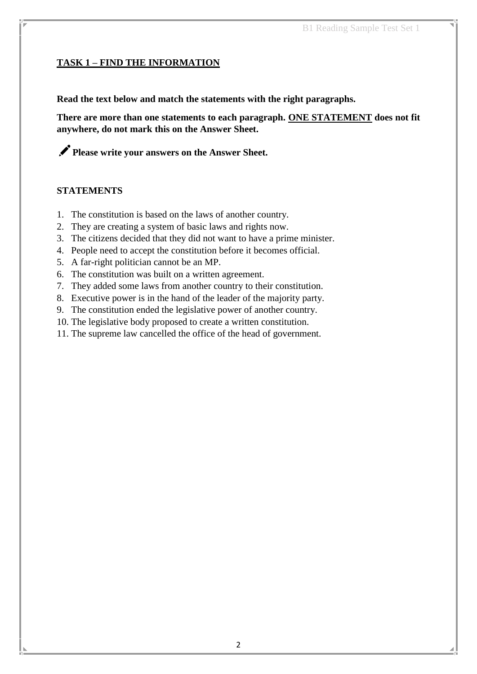#### **TASK 1 – FIND THE INFORMATION**

**Read the text below and match the statements with the right paragraphs.**

**There are more than one statements to each paragraph. ONE STATEMENT does not fit anywhere, do not mark this on the Answer Sheet.** 

**Please write your answers on the Answer Sheet.**

#### **STATEMENTS**

- 1. The constitution is based on the laws of another country.
- 2. They are creating a system of basic laws and rights now.
- 3. The citizens decided that they did not want to have a prime minister.
- 4. People need to accept the constitution before it becomes official.
- 5. A far-right politician cannot be an MP.
- 6. The constitution was built on a written agreement.
- 7. They added some laws from another country to their constitution.
- 8. Executive power is in the hand of the leader of the majority party.
- 9. The constitution ended the legislative power of another country.
- 10. The legislative body proposed to create a written constitution.
- 11. The supreme law cancelled the office of the head of government.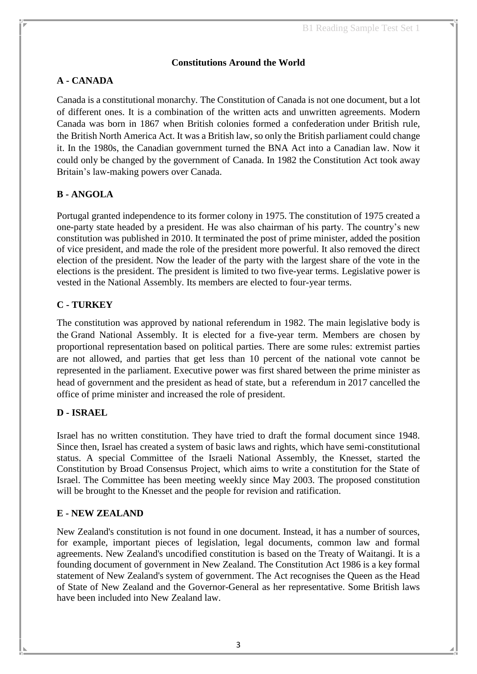#### **Constitutions Around the World**

#### **A - CANADA**

Canada is a constitutional monarchy. The Constitution of Canada is not one document, but a lot of different ones. It is a combination of the written acts and unwritten agreements. Modern Canada was born in 1867 when British colonies formed a confederation under [British](http://www.thecanadaguide.com/government/the-monarchy/) rule, the British North America Act. It was a British law, so only the British parliament could change it. In the 1980s, the Canadian government turned the BNA Act into a Canadian law. Now it could only be changed by the government of Canada. In 1982 the [Constitution](http://www.legislation.gov.uk/ukpga/1982/11) Act took away Britain's law-making powers over Canada.

#### **B - ANGOLA**

Portugal granted independence to its former colony in 1975. The constitution of 1975 created a one-party state headed by a [president.](https://www.britannica.com/topic/president-government-official) He was also chairman of his party. The country's new constitution was published in 2010. It terminated the post of prime minister, added the position of vice president, and made the role of the president more powerful. It also removed the direct election of the president. Now the leader of the party with the largest share of the vote in the elections is the president. The president is limited to two five-year terms. Legislative power is vested in the [National Assembly.](https://www.britannica.com/topic/National-Assembly-historical-French-parliament) Its members are elected to four-year terms.

#### **C - TURKEY**

The [constitution](https://www.britannica.com/topic/constitution-politics-and-law) was approved by national referendum in 1982. The main legislative body is the [Grand National Assembly.](https://www.britannica.com/topic/Grand-National-Assembly-Turkish-history) It is elected for a five-year term. Members are chosen by [proportional representation](https://www.britannica.com/topic/proportional-representation) based on political parties. There are some rules: extremist parties are not allowed, and parties that get less than 10 percent of the national vote cannot be represented in the parliament. Executive power was first shared between the [prime minister](https://www.britannica.com/topic/prime-minister) as head of government and the [president](https://www.britannica.com/topic/president-government-official) as head of state, but a referendum in 2017 cancelled the office of prime minister and increased the role of president.

#### **D - ISRAEL**

Israel has no written constitution. They have tried to draft the formal document since 1948. Since then, Israel has created a system of basic laws and rights, which have semi-constitutional status. A special Committee of the Israeli National Assembly, the Knesset, started the Constitution by Broad Consensus Project, which aims to write a constitution for the State of Israel. The Committee has been meeting weekly since May 2003. The proposed constitution will be brought to the Knesset and the people for revision and ratification.

#### **E - NEW ZEALAND**

New Zealand's constitution is not found in one document. Instead, it has a number of sources, for example, important pieces of legislation, legal documents, common law and formal agreements. New Zealand's uncodified constitution is based on the Treaty of Waitangi. It is a founding document of government in New Zealand. The Constitution Act 1986 is a key formal statement of New Zealand's system of government. The Act recognises the Queen as the Head of State of New Zealand and the Governor-General as her representative. Some British laws have been included into New Zealand law.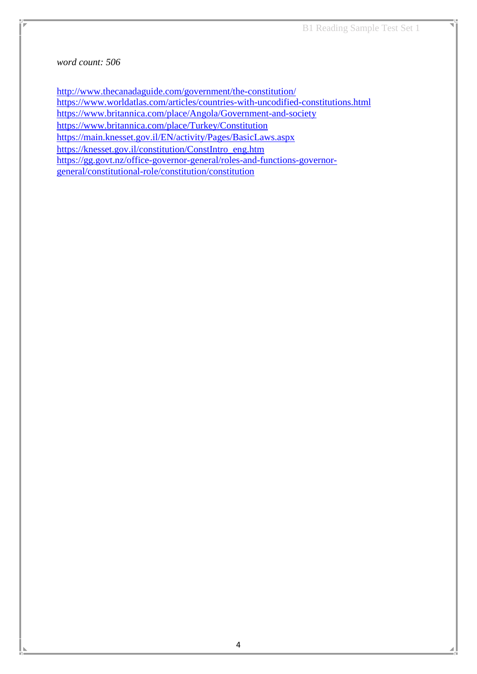#### *word count: 506*

<http://www.thecanadaguide.com/government/the-constitution/> <https://www.worldatlas.com/articles/countries-with-uncodified-constitutions.html> <https://www.britannica.com/place/Angola/Government-and-society> <https://www.britannica.com/place/Turkey/Constitution> <https://main.knesset.gov.il/EN/activity/Pages/BasicLaws.aspx> [https://knesset.gov.il/constitution/ConstIntro\\_eng.htm](https://knesset.gov.il/constitution/ConstIntro_eng.htm) [https://gg.govt.nz/office-governor-general/roles-and-functions-governor](https://gg.govt.nz/office-governor-general/roles-and-functions-governor-general/constitutional-role/constitution/constitution)[general/constitutional-role/constitution/constitution](https://gg.govt.nz/office-governor-general/roles-and-functions-governor-general/constitutional-role/constitution/constitution)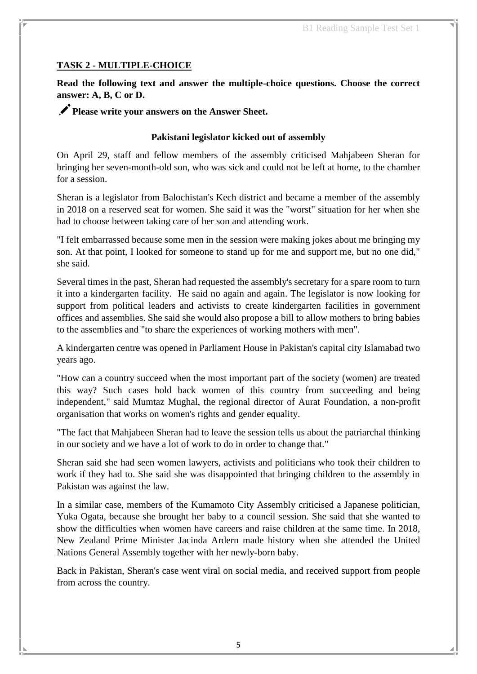#### **TASK 2 - MULTIPLE-CHOICE**

**Read the following text and answer the multiple-choice questions. Choose the correct answer: A, B, C or D.**

Please write your answers on the Answer Sheet.

#### **Pakistani legislator kicked out of assembly**

On April 29, staff and fellow members of the assembly criticised Mahjabeen Sheran for bringing her seven-month-old son, who was sick and could not be left at home, to the chamber for a session.

Sheran is a legislator from Balochistan's Kech district and became a member of the assembly in 2018 on a reserved seat for women. She said it was the "worst" situation for her when she had to choose between taking care of her son and attending work.

"I felt embarrassed because some men in the session were making jokes about me bringing my son. At that point, I looked for someone to stand up for me and support me, but no one did," she said.

Several times in the past, Sheran had requested the assembly's secretary for a spare room to turn it into a kindergarten facility. He said no again and again. The legislator is now looking for support from political leaders and activists to create kindergarten facilities in government offices and assemblies. She said she would also propose a bill to allow mothers to bring babies to the assemblies and "to share the experiences of working mothers with men".

A kindergarten centre was opened in Parliament House in Pakistan's capital city Islamabad two years ago.

"How can a country succeed when the most important part of the society (women) are treated this way? Such cases hold back women of this country from succeeding and being independent," said Mumtaz Mughal, the regional director of Aurat Foundation, a non-profit organisation that works on women's rights and gender equality.

"The fact that Mahjabeen Sheran had to leave the session tells us about the patriarchal thinking in our society and we have a lot of work to do in order to change that."

Sheran said she had seen women lawyers, activists and politicians who took their children to work if they had to. She said she was disappointed that bringing children to the assembly in Pakistan was against the law.

In a similar case, members of the Kumamoto City Assembly criticised a Japanese politician, Yuka Ogata, because she brought her baby to a council session. She said that she wanted to show the difficulties when women have careers and raise children at the same time. In 2018, New Zealand Prime Minister Jacinda Ardern made history when she attended the United Nations General Assembly together with her newly-born baby.

Back in Pakistan, Sheran's case went viral on social media, and received support from people from across the country.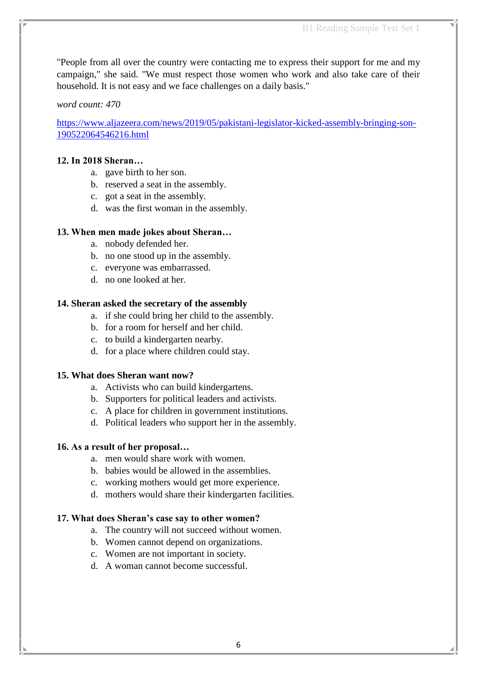"People from all over the country were contacting me to express their support for me and my campaign," she said. "We must respect those women who work and also take care of their household. It is not easy and we face challenges on a daily basis."

#### *word count: 470*

[https://www.aljazeera.com/news/2019/05/pakistani-legislator-kicked-assembly-bringing-son-](https://www.aljazeera.com/news/2019/05/pakistani-legislator-kicked-assembly-bringing-son-190522064546216.html)[190522064546216.html](https://www.aljazeera.com/news/2019/05/pakistani-legislator-kicked-assembly-bringing-son-190522064546216.html)

#### **12. In 2018 Sheran…**

- a. gave birth to her son.
- b. reserved a seat in the assembly.
- c. got a seat in the assembly.
- d. was the first woman in the assembly.

#### **13. When men made jokes about Sheran…**

- a. nobody defended her.
- b. no one stood up in the assembly.
- c. everyone was embarrassed.
- d. no one looked at her.

#### **14. Sheran asked the secretary of the assembly**

- a. if she could bring her child to the assembly.
- b. for a room for herself and her child.
- c. to build a kindergarten nearby.
- d. for a place where children could stay.

#### **15. What does Sheran want now?**

- a. Activists who can build kindergartens.
- b. Supporters for political leaders and activists.
- c. A place for children in government institutions.
- d. Political leaders who support her in the assembly.

#### **16. As a result of her proposal…**

- a. men would share work with women.
- b. babies would be allowed in the assemblies.
- c. working mothers would get more experience.
- d. mothers would share their kindergarten facilities.

#### **17. What does Sheran's case say to other women?**

- a. The country will not succeed without women.
- b. Women cannot depend on organizations.
- c. Women are not important in society.
- d. A woman cannot become successful.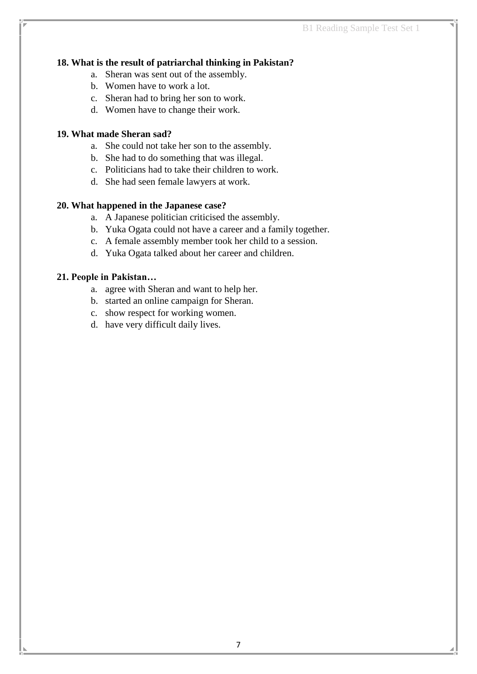#### **18. What is the result of patriarchal thinking in Pakistan?**

- a. Sheran was sent out of the assembly.
- b. Women have to work a lot.
- c. Sheran had to bring her son to work.
- d. Women have to change their work.

#### **19. What made Sheran sad?**

- a. She could not take her son to the assembly.
- b. She had to do something that was illegal.
- c. Politicians had to take their children to work.
- d. She had seen female lawyers at work.

#### **20. What happened in the Japanese case?**

- a. A Japanese politician criticised the assembly.
- b. Yuka Ogata could not have a career and a family together.
- c. A female assembly member took her child to a session.
- d. Yuka Ogata talked about her career and children.

#### **21. People in Pakistan…**

- a. agree with Sheran and want to help her.
- b. started an online campaign for Sheran.
- c. show respect for working women.
- d. have very difficult daily lives.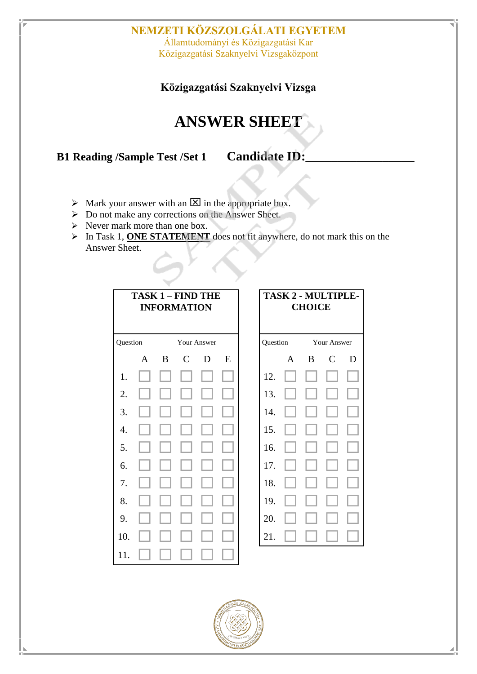### **NEMZETI KÖZSZOLGÁLATI EGYETEM** Államtudományi és Közigazgatási Kar

Közigazgatási Szaknyelvi Vizsgaközpont

### **Közigazgatási Szaknyelvi Vizsga**

## **ANSWER SHEET**

**B1 Reading /Sample Test /Set 1 Candidate ID:** 

- $\triangleright$  Mark your answer with an  $\boxtimes$  in the appropriate box.
- Do not make any corrections on the Answer Sheet.
- $\triangleright$  Never mark more than one box.
- > In Task 1, **ONE STATEMENT** does not fit anywhere, do not mark this on the Answer Sheet.

| <b>TASK 1 - FIND THE</b><br><b>INFORMATION</b> |              |             |                |   | <b>TASK 2 - MULTIPLE-</b><br><b>CHOICE</b> |          |              |             |              |   |
|------------------------------------------------|--------------|-------------|----------------|---|--------------------------------------------|----------|--------------|-------------|--------------|---|
| Question                                       |              | Your Answer |                |   |                                            | Question |              | Your Answer |              |   |
|                                                | $\mathbf{A}$ | B           | $\overline{C}$ | D | E                                          |          | $\mathbf{A}$ | B           | $\mathsf{C}$ | D |
| 1.                                             |              |             |                |   |                                            | 12.      |              |             |              |   |
| 2.                                             |              |             |                |   |                                            | 13.      |              |             |              |   |
| 3.                                             |              |             |                |   |                                            | 14.      |              |             |              |   |
| 4.                                             |              |             |                |   |                                            | 15.      |              |             |              |   |
| 5.                                             |              |             |                |   |                                            | 16.      |              |             |              |   |
| 6.                                             |              |             |                |   |                                            | 17.      |              |             |              |   |
| 7.                                             |              |             |                |   |                                            | 18.      |              |             |              |   |
| 8.                                             |              |             |                |   |                                            | 19.      |              |             |              |   |
| 9.                                             |              |             |                |   |                                            | 20.      |              |             |              |   |
| 10.                                            |              |             |                |   |                                            | 21.      |              |             |              |   |
| 11.                                            |              |             |                |   |                                            |          |              |             |              |   |